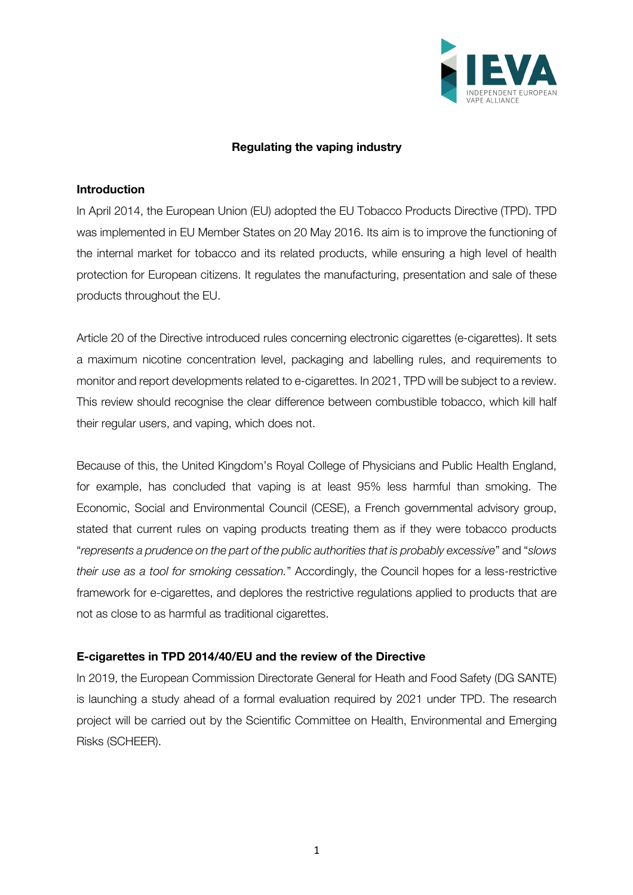

## **Regulating the vaping industry**

## **Introduction**

In April 2014, the European Union (EU) adopted the EU Tobacco Products Directive (TPD). TPD was implemented in EU Member States on 20 May 2016. Its aim is to improve the functioning of the internal market for tobacco and its related products, while ensuring a high level of health protection for European citizens. It regulates the manufacturing, presentation and sale of these products throughout the EU.

Article 20 of the Directive introduced rules concerning electronic cigarettes (e-cigarettes). It sets a maximum nicotine concentration level, packaging and labelling rules, and requirements to monitor and report developments related to e-cigarettes. In 2021, TPD will be subject to a review. This review should recognise the clear difference between combustible tobacco, which kill half their regular users, and vaping, which does not.

Because of this, the United Kingdom's Royal College of Physicians and Public Health England, for example, has concluded that vaping is at least 95% less harmful than smoking. The Economic, Social and Environmental Council (CESE), a French governmental advisory group, stated that current rules on vaping products treating them as if they were tobacco products "*represents a prudence on the part of the public authorities that is probably excessive*" and "*slows their use as a tool for smoking cessation.*" Accordingly, the Council hopes for a less-restrictive framework for e-cigarettes, and deplores the restrictive regulations applied to products that are not as close to as harmful as traditional cigarettes.

## **E-cigarettes in TPD 2014/40/EU and the review of the Directive**

In 2019, the European Commission Directorate General for Heath and Food Safety (DG SANTE) is launching a study ahead of a formal evaluation required by 2021 under TPD. The research project will be carried out by the Scientific Committee on Health, Environmental and Emerging Risks (SCHEER).